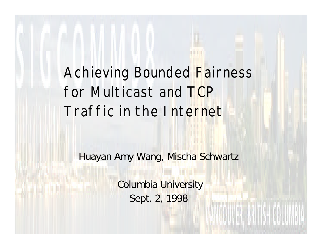#### Achieving Bounded Fairness for Multicast and TCP Traffic in the Internet

Huayan Amy Wang, Mischa Schwartz

 Columbia University Sept. 2, 1998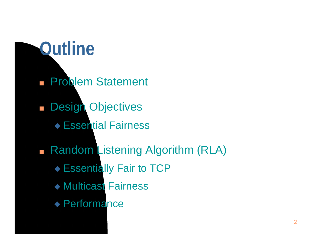### **Outline**

- **n Problem Statement**
- **n Design Objectives** 
	- ◆ Essential Fairness
- n Random Listening Algorithm (RLA)
	- ◆ Essentially Fair to TCP
	- ◆ Multicast Fairness
	- $\blacklozenge$  Performance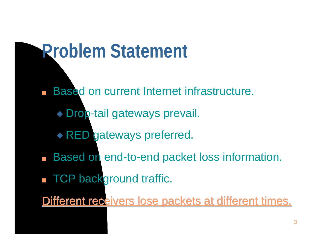### **Problem Statement**

- **n Based on current Internet infrastructure.** 
	- ◆ Drop-tail gateways prevail.
	- **RED gateways preferred.**
- **n Based on end-to-end packet loss information.**
- **n TCP background traffic.**
- Different receivers lose packets at different times.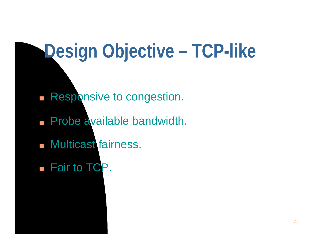# **Design Objective – TCP-like**

- **n Responsive to congestion.**
- **n Probe available bandwidth.**
- **n** Multicast fairness.
- **n** Fair to TCP.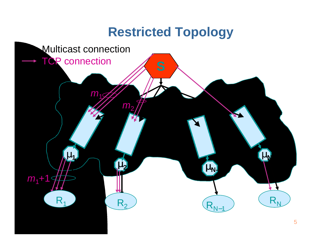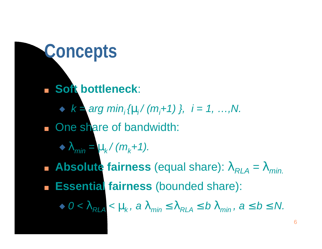### **Concepts**

- <sup>n</sup> **Soft bottleneck**:
	- $\triangleright$  **k** = arg min<sub>i</sub> { $m$ */* ( $m_i$ +1) }, i = 1, …,N.
- n One share of bandwidth:
	- $\blacktriangleright$   $\bm{l}$ <sub>min</sub> =  $\bm{m}$ <sub>k</sub> / (m<sub>k</sub>+1).
- **h** Absolute fairness (equal share):  $I_{RIA} = I_{min}$ .
- <sup>n</sup> **Essential fairness** (bounded share):

 $\triangleright$  0 <  $\mathbf{l}_{RLA}$  <  $\mathbf{m}_{k}$ , a  $\mathbf{l}_{min}$   $\mathbf{f}$   $\mathbf{l}_{RIA}$   $\mathbf{f}$   $\mathbf{b}$   $\mathbf{l}_{min}$ , a  $\mathbf{f}$   $\mathbf{b}$   $\mathbf{f}$   $\mathbf{N}$ .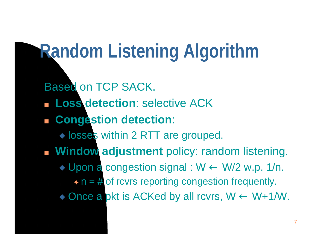# **Random Listening Algorithm**

Based on TCP SACK. <sup>n</sup> **Loss detection**: selective ACK <sup>n</sup> **Congestion detection**:  $\lozenge$  losses within 2 RTT are grouped. **n Window adjustment** policy: random listening.  $\triangleright$  Upon a congestion signal : W  $\leftarrow$  W/2 w.p. 1/n.  $\rightarrow$  n = # of rcvrs reporting congestion frequently.  $\lozenge$  Once a pkt is ACKed by all rcvrs,  $W \leftarrow W + 1/W$ .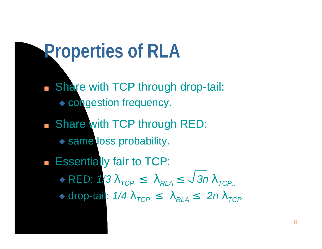### **Properties of RLA**

- **n Share with TCP through drop-tail:** ◆ congestion frequency.
- **n Share with TCP through RED:**  $\leftrightarrow$  same loss probability.
- **Figure 1** Essentially fair to TCP:  $\triangle$  RED:  $1/3$   $l$ <sub>*TCP</sub>*  $f$   $l$ <sub>*RLA</sub>*  $f$   $\sqrt{3n}$   $l$ <sub>*TCP*.</sub></sub></sub>  $\triangle$  drop-tail:  $1/4$   $I$ <sub>*TCP</sub>*  $f$   $I$ <sub>*RLA</sub>*  $f$   $2n$   $I$ <sub>*TCP</sub>*</sub></sub></sub>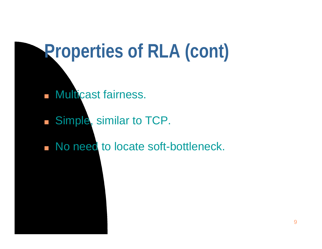## **Properties of RLA (cont)**

- **n Multicast fairness.**
- **n** Simple, similar to TCP.
- n No need to locate soft-bottleneck.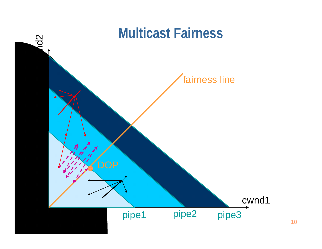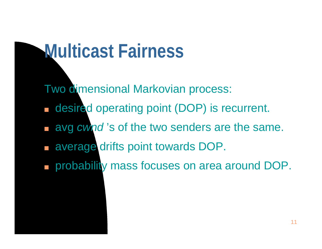## **Multicast Fairness**

Two dimensional Markovian process:

- n desired operating point (DOP) is recurrent.
- **n avg cwnd**'s of the two senders are the same.
- **n average drifts point towards DOP.**
- n probability mass focuses on area around DOP.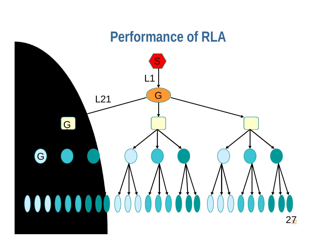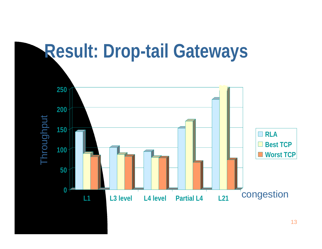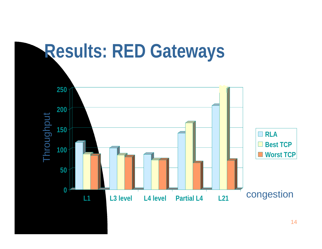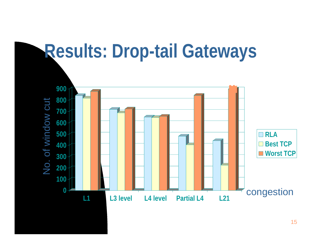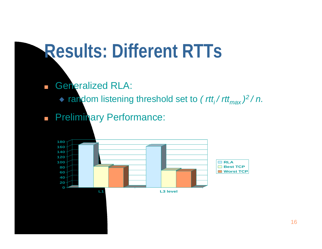#### **Results: Different RTTs**

**n** Generalized RLA:

<sup>u</sup> random listening threshold set to *( rtti / rttmax ) <sup>2</sup>/ n.*

**n Preliminary Performance:**